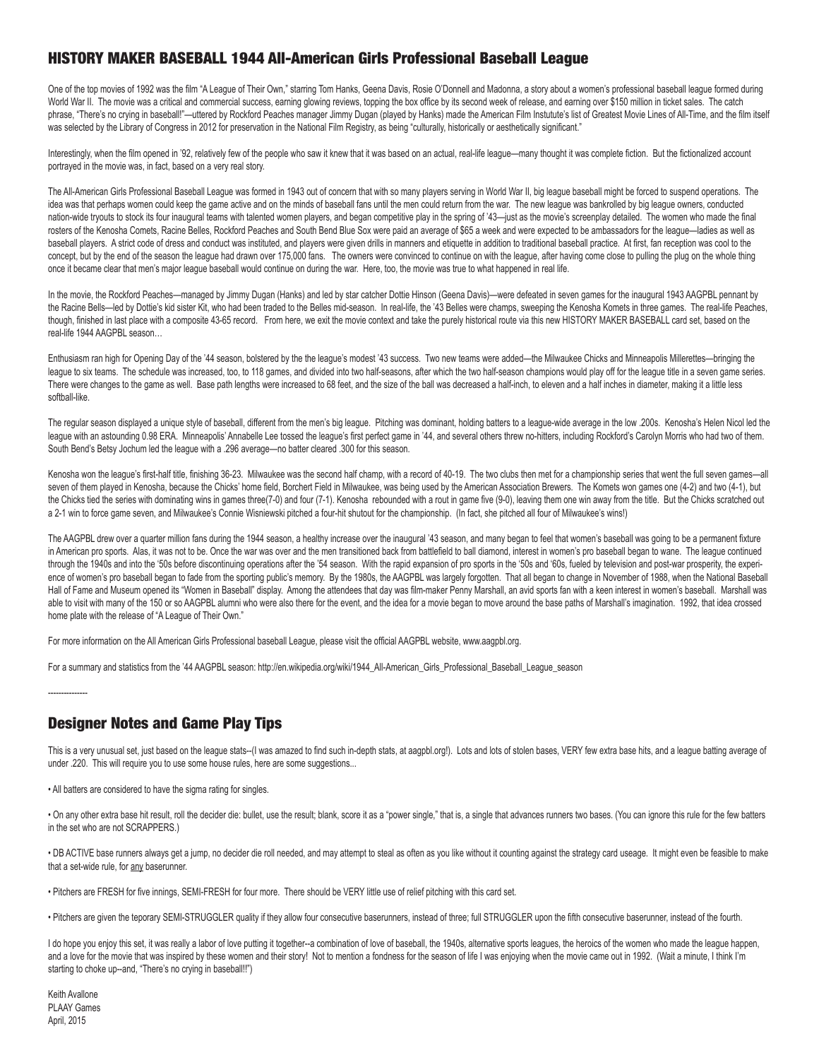## HISTORY MAKER BASEBALL 1944 All-American Girls Professional Baseball League

One of the top movies of 1992 was the film "A League of Their Own," starring Tom Hanks, Geena Davis, Rosie O'Donnell and Madonna, a story about a women's professional baseball league formed during World War II. The movie was a critical and commercial success, earning glowing reviews, topping the box office by its second week of release, and earning over \$150 million in ticket sales. The catch phrase, "There's no crying in baseball!"—uttered by Rockford Peaches manager Jimmy Dugan (played by Hanks) made the American Film Instutute's list of Greatest Movie Lines of All-Time, and the film itself was selected by the Library of Congress in 2012 for preservation in the National Film Registry, as being "culturally, historically or aesthetically significant."

Interestingly, when the film opened in '92, relatively few of the people who saw it knew that it was based on an actual, real-life league—many thought it was complete fiction. But the fictionalized account portrayed in the movie was, in fact, based on a very real story.

The All-American Girls Professional Baseball League was formed in 1943 out of concern that with so many players serving in World War II, big league baseball might be forced to suspend operations. The idea was that perhaps women could keep the game active and on the minds of baseball fans until the men could return from the war. The new league was bankrolled by big league owners, conducted nation-wide tryouts to stock its four inaugural teams with talented women players, and began competitive play in the spring of '43--just as the movie's screenplay detailed. The women who made the final rosters of the Kenosha Comets, Racine Belles, Rockford Peaches and South Bend Blue Sox were paid an average of \$65 a week and were expected to be ambassadors for the league—ladies as well as baseball players. A strict code of dress and conduct was instituted, and players were given drills in manners and etiquette in addition to traditional baseball practice. At first, fan reception was cool to the concept, but by the end of the season the league had drawn over 175,000 fans. The owners were convinced to continue on with the league, after having come close to pulling the plug on the whole thing once it became clear that men's major league baseball would continue on during the war. Here, too, the movie was true to what happened in real life.

In the movie, the Rockford Peaches—managed by Jimmy Dugan (Hanks) and led by star catcher Dottie Hinson (Geena Davis)—were defeated in seven games for the inaugural 1943 AAGPBL pennant by the Racine Bells—led by Dottie's kid sister Kit, who had been traded to the Belles mid-season. In real-life, the '43 Belles were champs, sweeping the Kenosha Komets in three games. The real-life Peaches, though, finished in last place with a composite 43-65 record. From here, we exit the movie context and take the purely historical route via this new HISTORY MAKER BASEBALL card set, based on the real-life 1944 AAGPBL season…

Enthusiasm ran high for Opening Day of the '44 season, bolstered by the the league's modest '43 success. Two new teams were added—the Milwaukee Chicks and Minneapolis Millerettes—bringing the league to six teams. The schedule was increased, too, to 118 games, and divided into two half-seasons, after which the two half-season champions would play off for the league title in a seven game series. There were changes to the game as well. Base path lengths were increased to 68 feet, and the size of the ball was decreased a half-inch, to eleven and a half inches in diameter, making it a little less softball-like.

The regular season displayed a unique style of baseball, different from the men's big league. Pitching was dominant, holding batters to a league-wide average in the low .200s. Kenosha's Helen Nicol led the league with an astounding 0.98 ERA. Minneapolis' Annabelle Lee tossed the league's first perfect game in '44, and several others threw no-hitters, including Rockford's Carolyn Morris who had two of them. South Bend's Betsy Jochum led the league with a .296 average—no batter cleared .300 for this season.

Kenosha won the league's first-half title, finishing 36-23. Milwaukee was the second half champ, with a record of 40-19. The two clubs then met for a championship series that went the full seven games—all seven of them played in Kenosha, because the Chicks' home field, Borchert Field in Milwaukee, was being used by the American Association Brewers. The Komets won games one (4-2) and two (4-1), but the Chicks tied the series with dominating wins in games three(7-0) and four (7-1). Kenosha rebounded with a rout in game five (9-0), leaving them one win away from the title. But the Chicks scratched out a 2-1 win to force game seven, and Milwaukee's Connie Wisniewski pitched a four-hit shutout for the championship. (In fact, she pitched all four of Milwaukee's wins!)

The AAGPBL drew over a quarter million fans during the 1944 season, a healthy increase over the inaugural '43 season, and many began to feel that women's baseball was going to be a permanent fixture in American pro sports. Alas, it was not to be. Once the war was over and the men transitioned back from battlefield to ball diamond, interest in women's pro baseball began to wane. The league continued through the 1940s and into the '50s before discontinuing operations after the '54 season. With the rapid expansion of pro sports in the '50s and '60s, fueled by television and post-war prosperity, the experience of women's pro baseball began to fade from the sporting public's memory. By the 1980s, the AAGPBL was largely forgotten. That all began to change in November of 1988, when the National Baseball Hall of Fame and Museum opened its "Women in Baseball" display. Among the attendees that day was film-maker Penny Marshall, an avid sports fan with a keen interest in women's baseball. Marshall was able to visit with many of the 150 or so AAGPBL alumni who were also there for the event, and the idea for a movie began to move around the base paths of Marshall's imagination. 1992, that idea crossed home plate with the release of "A League of Their Own."

For more information on the All American Girls Professional baseball League, please visit the official AAGPBL website, www.aagpbl.org.

For a summary and statistics from the '44 AAGPBL season: http://en.wikipedia.org/wiki/1944\_All-American\_Girls\_Professional\_Baseball\_League\_season

## Designer Notes and Game Play Tips

This is a very unusual set, just based on the league stats--(I was amazed to find such in-depth stats, at aagpbl.org!). Lots and lots of stolen bases, VERY few extra base hits, and a league batting average of under .220. This will require you to use some house rules, here are some suggestions...

• All batters are considered to have the sigma rating for singles.

• On any other extra base hit result, roll the decider die: bullet, use the result; blank, score it as a "power single," that is, a single that advances runners two bases. (You can ignore this rule for the few batters in the set who are not SCRAPPERS.)

• DB ACTIVE base runners always get a jump, no decider die roll needed, and may attempt to steal as often as you like without it counting against the strategy card useage. It might even be feasible to make that a set-wide rule, for any baserunner.

• Pitchers are FRESH for five innings, SEMI-FRESH for four more. There should be VERY little use of relief pitching with this card set.

• Pitchers are given the teporary SEMI-STRUGGLER quality if they allow four consecutive baserunners, instead of three; full STRUGGLER upon the fifth consecutive baserunner, instead of the fourth.

I do hope you enjoy this set, it was really a labor of love putting it together--a combination of love of baseball, the 1940s, alternative sports leagues, the heroics of the women who made the league happen, and a love for the movie that was inspired by these women and their story! Not to mention a fondness for the season of life I was enjoying when the movie came out in 1992. (Wait a minute, I think I'm starting to choke up--and, "There's no crying in baseball!!")

Keith Avallone PLAAY Games April, 2015

---------------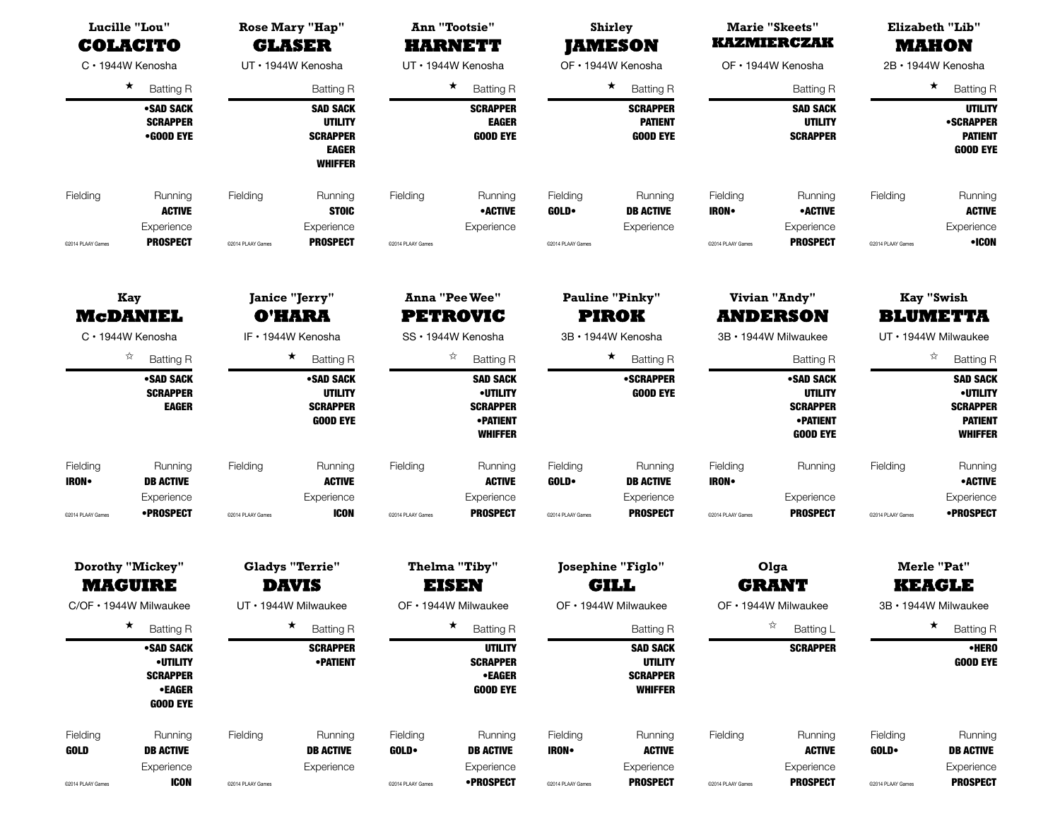| <b>KAZMIERCZAK</b><br><b>COLACITO</b><br><b>GLASER</b><br><b>HARNETT</b><br><b>JAMESON</b><br>UT · 1944W Kenosha<br>OF · 1944W Kenosha<br>C · 1944W Kenosha<br>UT · 1944W Kenosha<br>OF • 1944W Kenosha<br>$\star$<br>★<br>$\star$<br><b>Batting R</b><br><b>Batting R</b><br><b>Batting R</b><br><b>Batting R</b><br><b>Batting R</b><br>•SAD SACK<br><b>SAD SACK</b><br><b>SCRAPPER</b><br><b>SCRAPPER</b><br><b>SAD SACK</b><br><b>SCRAPPER</b><br><b>UTILITY</b><br><b>EAGER</b><br><b>PATIENT</b><br><b>UTILITY</b><br>•GOOD EYE<br><b>SCRAPPER</b><br><b>GOOD EYE</b><br><b>GOOD EYE</b><br><b>SCRAPPER</b> | <b>MAHON</b><br>2B · 1944W Kenosha<br>$\star$<br><b>Batting R</b><br><b>UTILITY</b><br><b>•SCRAPPER</b><br><b>PATIENT</b><br><b>GOOD EYE</b> |
|-------------------------------------------------------------------------------------------------------------------------------------------------------------------------------------------------------------------------------------------------------------------------------------------------------------------------------------------------------------------------------------------------------------------------------------------------------------------------------------------------------------------------------------------------------------------------------------------------------------------|----------------------------------------------------------------------------------------------------------------------------------------------|
|                                                                                                                                                                                                                                                                                                                                                                                                                                                                                                                                                                                                                   |                                                                                                                                              |
|                                                                                                                                                                                                                                                                                                                                                                                                                                                                                                                                                                                                                   |                                                                                                                                              |
| <b>EAGER</b><br><b>WHIFFER</b>                                                                                                                                                                                                                                                                                                                                                                                                                                                                                                                                                                                    |                                                                                                                                              |
| Fielding<br>Running<br>Fielding<br>Running<br>Fielding<br>Fielding<br>Fielding<br>Running<br>Running<br>Running<br><b>ACTIVE</b><br><b>STOIC</b><br>• ACTIVE<br>GOLD.<br><b>DB ACTIVE</b><br><b>•ACTIVE</b><br><b>IRON</b><br>Experience<br>Experience<br>Experience<br>Experience<br>Experience                                                                                                                                                                                                                                                                                                                  | Fielding<br>Running<br><b>ACTIVE</b><br>Experience                                                                                           |
| <b>PROSPECT</b><br><b>PROSPECT</b><br><b>PROSPECT</b><br>@2014 PLAAY Games<br>@2014 PLAAY Games<br>@2014 PLAAY Games<br>@2014 PLAAY Games<br>@2014 PLAAY Games                                                                                                                                                                                                                                                                                                                                                                                                                                                    | •ICON<br>@2014 PLAAY Games                                                                                                                   |
| <b>Vivian "Andy"</b><br>Janice "Jerry"<br><b>Anna "Pee Wee"</b><br><b>Pauline "Pinky"</b><br>Kay<br><b>PIROK</b><br><b>McDANIEL</b><br><b>O'HARA</b><br><b>PETROVIC</b><br><b>ANDERSON</b><br>IF · 1944W Kenosha<br>C · 1944W Kenosha<br>SS · 1944W Kenosha<br>3B · 1944W Kenosha<br>3B · 1944W Milwaukee                                                                                                                                                                                                                                                                                                         | <b>Kay "Swish</b><br><b>BLUMETTA</b><br>UT • 1944W Milwaukee                                                                                 |
| ☆<br>$\star$<br>☆<br>$\star$<br><b>Batting R</b><br><b>Batting R</b><br><b>Batting R</b><br><b>Batting R</b><br><b>Batting R</b>                                                                                                                                                                                                                                                                                                                                                                                                                                                                                  | ☆<br><b>Batting R</b>                                                                                                                        |
| •SAD SACK<br><b>•SCRAPPER</b><br>•SAD SACK<br>•SAD SACK<br><b>SAD SACK</b><br><b>SCRAPPER</b><br><b>UTILITY</b><br><b>•UTILITY</b><br><b>GOOD EYE</b><br><b>UTILITY</b><br><b>EAGER</b><br><b>SCRAPPER</b><br><b>SCRAPPER</b><br><b>SCRAPPER</b><br><b>GOOD EYE</b><br><b>•PATIENT</b><br><b>•PATIENT</b><br><b>WHIFFER</b><br><b>GOOD EYE</b>                                                                                                                                                                                                                                                                    | <b>SAD SACK</b><br><b>•UTILITY</b><br><b>SCRAPPER</b><br><b>PATIENT</b><br><b>WHIFFER</b>                                                    |
| Fielding<br>Fielding<br>Fielding<br>Running<br>Fielding<br>Fielding<br>Running<br>Running<br>Running<br>Running<br><b>ACTIVE</b><br><b>ACTIVE</b><br>GOLD.<br><b>IRON</b><br><b>IRON•</b><br><b>DB ACTIVE</b><br><b>DB ACTIVE</b>                                                                                                                                                                                                                                                                                                                                                                                 | Fielding<br>Running<br><b>•ACTIVE</b>                                                                                                        |
| Experience<br>Experience<br>Experience<br>Experience<br>Experience<br>•PROSPECT<br><b>ICON</b><br><b>PROSPECT</b><br><b>PROSPECT</b><br><b>PROSPECT</b><br>@2014 PLAAY Games<br>@2014 PLAAY Games<br>@2014 PLAAY Games<br>@2014 PLAAY Games<br>@2014 PLAAY Games                                                                                                                                                                                                                                                                                                                                                  | Experience<br>•PROSPECT<br>@2014 PLAAY Games                                                                                                 |
| Dorothy "Mickey"<br><b>Gladys "Terrie"</b><br><b>Thelma "Tiby"</b><br><b>Josephine "Figlo"</b><br>Olga<br><b>MAGUIRE</b><br><b>GILL</b><br><b>GRANT</b><br><b>DAVIS</b><br><b>EISEN</b>                                                                                                                                                                                                                                                                                                                                                                                                                           | <b>Merle "Pat"</b><br><b>KEAGLE</b>                                                                                                          |
| OF • 1944W Milwaukee<br>C/OF • 1944W Milwaukee<br>UT • 1944W Milwaukee<br>OF • 1944W Milwaukee<br>OF • 1944W Milwaukee<br>$\star$<br>$\star$<br>☆<br>$\star$                                                                                                                                                                                                                                                                                                                                                                                                                                                      | 3B · 1944W Milwaukee<br>$\star$                                                                                                              |
| <b>Batting R</b><br><b>Batting R</b><br><b>Batting R</b><br>Batting L<br><b>Batting R</b><br><b>SCRAPPER</b><br><b>UTILITY</b><br>•SAD SACK<br><b>SAD SACK</b><br><b>SCRAPPER</b><br><b>•UTILITY</b><br><b>• PATIENT</b><br><b>SCRAPPER</b><br><b>UTILITY</b><br><b>SCRAPPER</b><br><b>•EAGER</b><br><b>SCRAPPER</b><br><b>•EAGER</b><br><b>GOOD EYE</b><br><b>WHIFFER</b><br><b>GOOD EYE</b>                                                                                                                                                                                                                     | <b>Batting R</b><br><b>•HERO</b><br><b>GOOD EYE</b>                                                                                          |
| Fielding<br>Fielding<br>Fielding<br>Running<br>Fielding<br>Running<br>Running<br>Running<br>Fielding<br>Running<br><b>GOLD</b><br><b>DB ACTIVE</b><br><b>GOLD</b><br><b>DB ACTIVE</b><br><b>IRON</b><br><b>ACTIVE</b><br><b>ACTIVE</b><br><b>DB ACTIVE</b><br>Experience<br>Experience<br>Experience<br>Experience<br>Experience<br><b>ICON</b><br><b>•PROSPECT</b><br><b>PROSPECT</b><br><b>PROSPECT</b><br>@2014 PLAAY Games<br>@2014 PLAAY Games<br>@2014 PLAAY Games<br>@2014 PLAAY Games<br>@2014 PLAAY Games                                                                                                | Fielding<br>Running<br>GOLD.<br><b>DB ACTIVE</b><br>Experience<br><b>PROSPECT</b><br>@2014 PLAAY Games                                       |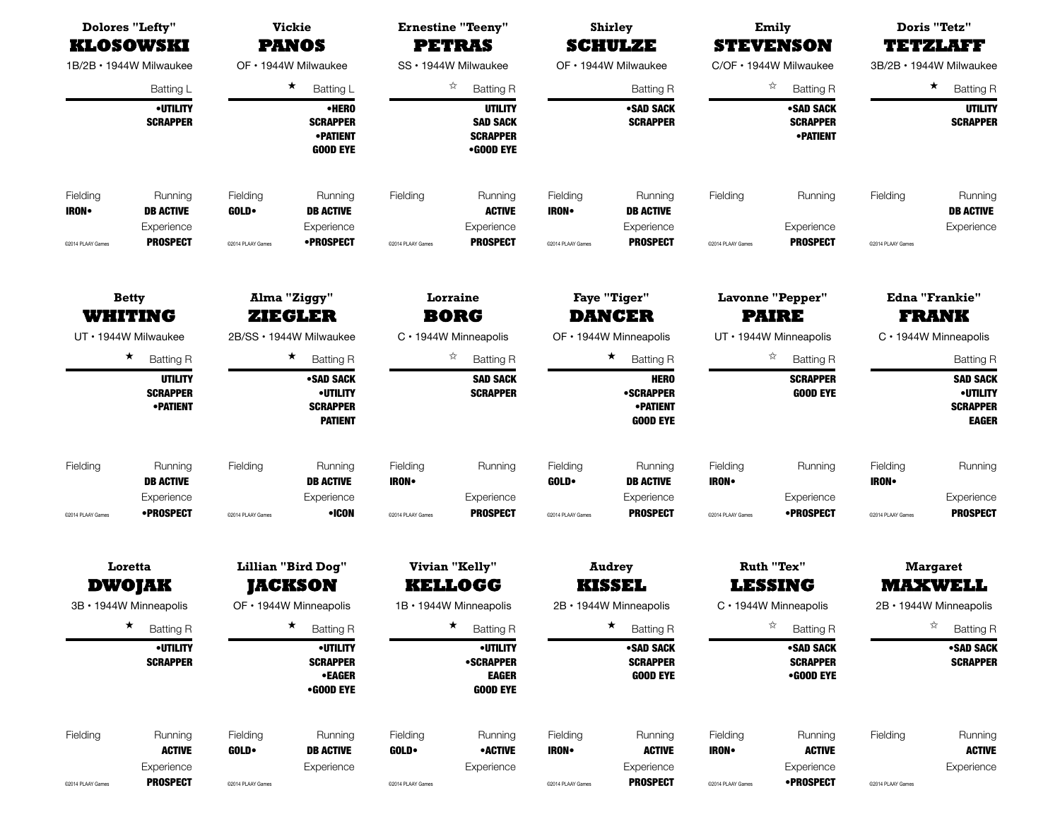|                                              | <b>Dolores "Lefty"</b><br><b>KLOSOWSKI</b>                                                                                                                                                         |                                                                       | <b>Vickie</b><br><b>PANOS</b>                                       |                                                                                                                 | <b>Ernestine "Teeny"</b><br><b>PETRAS</b>                              |                                                                                                                            | <b>Shirley</b><br><b>SCHULZE</b>                                  |                                                                                                                                  | Emily<br><b>STEVENSON</b>                                  |                                                             | Doris "Tetz"<br>TETZLAFI                                                                                                                          |
|----------------------------------------------|----------------------------------------------------------------------------------------------------------------------------------------------------------------------------------------------------|-----------------------------------------------------------------------|---------------------------------------------------------------------|-----------------------------------------------------------------------------------------------------------------|------------------------------------------------------------------------|----------------------------------------------------------------------------------------------------------------------------|-------------------------------------------------------------------|----------------------------------------------------------------------------------------------------------------------------------|------------------------------------------------------------|-------------------------------------------------------------|---------------------------------------------------------------------------------------------------------------------------------------------------|
|                                              | 1B/2B · 1944W Milwaukee                                                                                                                                                                            |                                                                       | OF · 1944W Milwaukee                                                |                                                                                                                 | SS · 1944W Milwaukee                                                   |                                                                                                                            | OF · 1944W Milwaukee                                              |                                                                                                                                  | C/OF · 1944W Milwaukee                                     |                                                             | 3B/2B · 1944W Milwaukee                                                                                                                           |
|                                              | Batting L                                                                                                                                                                                          |                                                                       | $\star$<br>Batting L                                                |                                                                                                                 | ☆<br><b>Batting R</b>                                                  |                                                                                                                            | <b>Batting R</b>                                                  |                                                                                                                                  | ☆<br><b>Batting R</b>                                      |                                                             | $\star$<br><b>Batting R</b>                                                                                                                       |
|                                              | <b>•UTILITY</b><br><b>SCRAPPER</b>                                                                                                                                                                 |                                                                       | •HERO<br><b>SCRAPPER</b><br><b>• PATIENT</b><br><b>GOOD EYE</b>     |                                                                                                                 | <b>UTILITY</b><br><b>SAD SACK</b><br><b>SCRAPPER</b><br>•GOOD EYE      |                                                                                                                            | <b>•SAD SACK</b><br><b>SCRAPPER</b>                               |                                                                                                                                  | •SAD SACK<br><b>SCRAPPER</b><br><b>• PATIENT</b>           |                                                             | <b>UTILITY</b><br><b>SCRAPPER</b>                                                                                                                 |
| Fielding<br><b>IRON</b><br>@2014 PLAAY Games | Running<br><b>DB ACTIVE</b><br>Experience<br><b>PROSPECT</b>                                                                                                                                       | Fielding<br><b>GOLD</b><br>@2014 PLAAY Games                          | Running<br><b>DB ACTIVE</b><br>Experience<br><b>•PROSPECT</b>       | Fielding<br>@2014 PLAAY Games                                                                                   | Running<br><b>ACTIVE</b><br>Experience<br><b>PROSPECT</b>              | Fielding<br><b>IRON</b> •<br>@2014 PLAAY Games                                                                             | Running<br><b>DB ACTIVE</b><br>Experience<br><b>PROSPECT</b>      | Fielding<br>@2014 PLAAY Games                                                                                                    | Running<br>Experience<br><b>PROSPECT</b>                   | Fielding<br>@2014 PLAAY Games                               | Running<br><b>DB ACTIVE</b><br>Experience                                                                                                         |
|                                              | Alma "Ziggy"<br><b>Betty</b><br><b>WHITING</b><br><b>ZIEGLER</b><br>UT · 1944W Milwaukee<br>2B/SS · 1944W Milwaukee<br>$\star$<br>$\star$<br><b>Batting R</b><br><b>UTILITY</b><br><b>SCRAPPER</b> |                                                                       | <b>Batting R</b><br>•SAD SACK<br><b>•UTILITY</b><br><b>SCRAPPER</b> | Lorraine<br><b>BORG</b><br>C · 1944W Minneapolis<br>☆<br><b>Batting R</b><br><b>SAD SACK</b><br><b>SCRAPPER</b> |                                                                        | <b>Faye "Tiger"</b><br><b>DANCER</b><br>OF · 1944W Minneapolis<br>★<br><b>Batting R</b><br><b>HERO</b><br><b>•SCRAPPER</b> |                                                                   | <b>Lavonne "Pepper"</b><br><b>PAIRE</b><br>UT · 1944W Minneapolis<br>☆<br><b>Batting R</b><br><b>SCRAPPER</b><br><b>GOOD EYE</b> |                                                            |                                                             | <b>Edna "Frankie"</b><br><b>FRANK</b><br>$C \cdot 1944W$ Minneapolis<br><b>Batting R</b><br><b>SAD SACK</b><br><b>•UTILITY</b><br><b>SCRAPPER</b> |
| Fielding                                     | <b>• PATIENT</b><br>Running<br><b>DB ACTIVE</b>                                                                                                                                                    | Fielding                                                              | <b>PATIENT</b><br>Running<br><b>DB ACTIVE</b>                       | Fielding<br><b>IRON</b> •                                                                                       | Running                                                                | Fielding<br>GOLD.                                                                                                          | <b>•PATIENT</b><br><b>GOOD EYE</b><br>Running<br><b>DB ACTIVE</b> | Fielding<br><b>IRON</b>                                                                                                          | Running                                                    | Fielding<br><b>IRON</b>                                     | <b>EAGER</b><br>Running                                                                                                                           |
| @2014 PLAAY Games                            | Experience<br>•PROSPECT                                                                                                                                                                            | @2014 PLAAY Games                                                     | Experience<br>•ICON                                                 | @2014 PLAAY Games                                                                                               | Experience<br><b>PROSPECT</b>                                          | @2014 PLAAY Games                                                                                                          | Experience<br><b>PROSPECT</b>                                     | @2014 PLAAY Games                                                                                                                | Experience<br>•PROSPECT                                    | @2014 PLAAY Games                                           | Experience<br><b>PROSPECT</b>                                                                                                                     |
|                                              | Loretta<br><b>DWOJAK</b><br>3B · 1944W Minneapolis                                                                                                                                                 | <b>Lillian "Bird Dog"</b><br><b>JACKSON</b><br>OF • 1944W Minneapolis |                                                                     | Vivian "Kelly"<br><b>KELLOGG</b><br>1B · 1944W Minneapolis                                                      |                                                                        | <b>Audrey</b><br><b>KISSEL</b><br>2B · 1944W Minneapolis                                                                   |                                                                   | Ruth "Tex"<br><b>LESSING</b><br>C · 1944W Minneapolis                                                                            |                                                            | <b>Margaret</b><br><b>MAXWELL</b><br>2B · 1944W Minneapolis |                                                                                                                                                   |
|                                              | $\star$<br><b>Batting R</b>                                                                                                                                                                        |                                                                       | ★<br><b>Batting R</b>                                               |                                                                                                                 | $\star$<br><b>Batting R</b>                                            |                                                                                                                            | ★<br><b>Batting R</b>                                             |                                                                                                                                  | ☆<br><b>Batting R</b>                                      |                                                             | ☆<br><b>Batting R</b>                                                                                                                             |
|                                              | <b>•UTILITY</b><br><b>SCRAPPER</b>                                                                                                                                                                 |                                                                       | <b>•UTILITY</b><br><b>SCRAPPER</b><br><b>•EAGER</b><br>•GOOD EYE    |                                                                                                                 | <b>•UTILITY</b><br><b>•SCRAPPER</b><br><b>EAGER</b><br><b>GOOD EYE</b> |                                                                                                                            | <b>•SAD SACK</b><br><b>SCRAPPER</b><br><b>GOOD EYE</b>            |                                                                                                                                  | •SAD SACK<br><b>SCRAPPER</b><br>•GOOD EYE                  |                                                             | <b>•SAD SACK</b><br><b>SCRAPPER</b>                                                                                                               |
| Fielding<br>@2014 PLAAY Games                | Running<br><b>ACTIVE</b><br>Experience<br><b>PROSPECT</b>                                                                                                                                          | Fielding<br><b>GOLD</b><br>@2014 PLAAY Games                          | Running<br><b>DB ACTIVE</b><br>Experience                           | Fielding<br><b>GOLD</b><br>@2014 PLAAY Games                                                                    | Running<br><b>•ACTIVE</b><br>Experience                                | Fielding<br><b>IRON</b> •<br>@2014 PLAAY Games                                                                             | Running<br><b>ACTIVE</b><br>Experience<br><b>PROSPECT</b>         | Fielding<br><b>IRON</b><br>@2014 PLAAY Games                                                                                     | Running<br><b>ACTIVE</b><br>Experience<br><b>•PROSPECT</b> | Fielding<br>@2014 PLAAY Games                               | Running<br><b>ACTIVE</b><br>Experience                                                                                                            |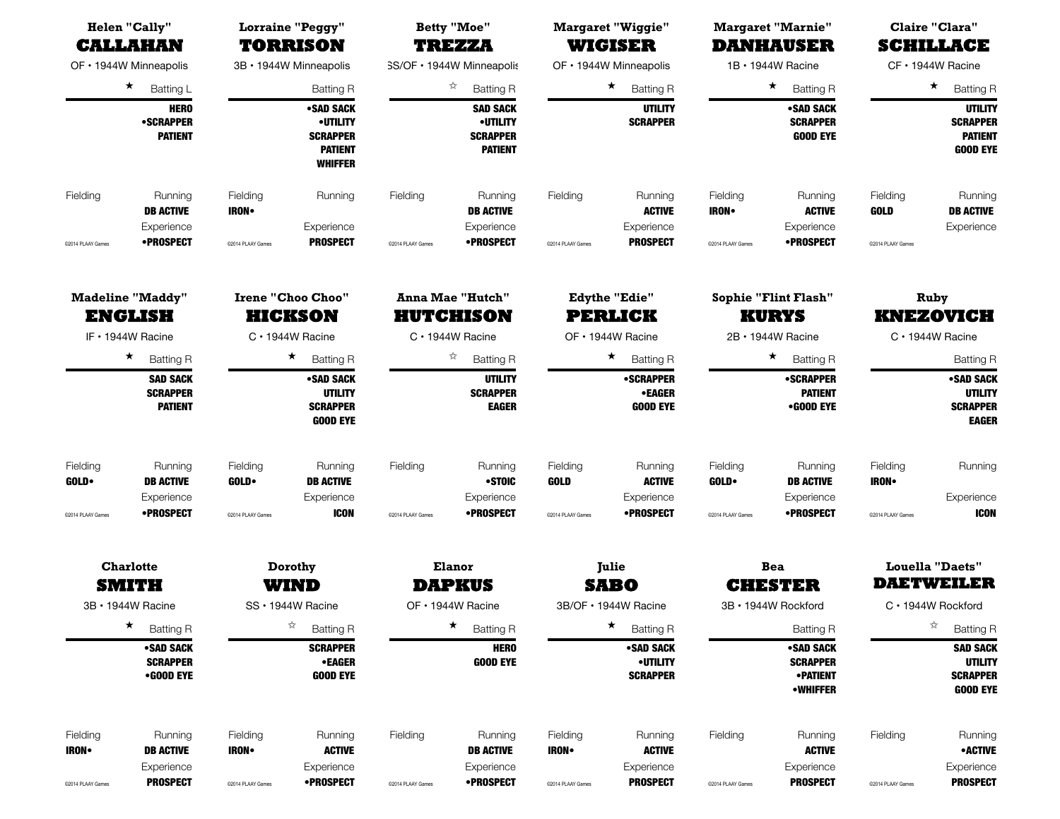| <b>Helen "Cally"</b><br><b>CALLAHAN</b><br>OF • 1944W Minneapolis |                                                                |                         | <b>Lorraine "Peggy"</b><br><b>TORRISON</b>                                          |                   | <b>Betty "Moe"</b><br><b>TREZZA</b>                                     |                                | <b>Margaret "Wiggie"</b><br><b>WIGISER</b>                      |                                                             | <b>Margaret "Marnie"</b><br><b>DANHAUSER</b>                        |                              | Claire "Clara"<br><b>SCHILLACE</b>                                      |                                                    |  |
|-------------------------------------------------------------------|----------------------------------------------------------------|-------------------------|-------------------------------------------------------------------------------------|-------------------|-------------------------------------------------------------------------|--------------------------------|-----------------------------------------------------------------|-------------------------------------------------------------|---------------------------------------------------------------------|------------------------------|-------------------------------------------------------------------------|----------------------------------------------------|--|
|                                                                   |                                                                |                         | 3B · 1944W Minneapolis                                                              |                   | SS/OF · 1944W Minneapolis                                               |                                | OF • 1944W Minneapolis                                          |                                                             | 1B · 1944W Racine                                                   | CF · 1944W Racine            |                                                                         |                                                    |  |
|                                                                   | $\star$<br>Batting L                                           |                         | <b>Batting R</b>                                                                    |                   | ☆<br><b>Batting R</b>                                                   |                                | $\star$<br><b>Batting R</b>                                     |                                                             | $\star$<br><b>Batting R</b>                                         |                              | ★.<br><b>Batting R</b>                                                  |                                                    |  |
|                                                                   | <b>HERO</b><br><b>•SCRAPPER</b><br><b>PATIENT</b>              |                         | •SAD SACK<br><b>•UTILITY</b><br><b>SCRAPPER</b><br><b>PATIENT</b><br><b>WHIFFER</b> |                   | <b>SAD SACK</b><br><b>•UTILITY</b><br><b>SCRAPPER</b><br><b>PATIENT</b> |                                | <b>UTILITY</b><br><b>SCRAPPER</b>                               |                                                             | •SAD SACK<br><b>SCRAPPER</b><br><b>GOOD EYE</b>                     |                              | <b>UTILITY</b><br><b>SCRAPPER</b><br><b>PATIENT</b><br><b>GOOD EYE</b>  |                                                    |  |
| Fielding                                                          | Running<br><b>DB ACTIVE</b><br>Experience                      | Fielding<br><b>IRON</b> | Running<br>Experience                                                               | Fielding          | Running<br><b>DB ACTIVE</b><br>Experience                               | Fielding                       | Running<br><b>ACTIVE</b><br>Experience                          | Fielding<br><b>IRON</b>                                     | Running<br><b>ACTIVE</b><br>Experience                              | Fielding<br>GOLD             | Running<br><b>DB ACTIVE</b><br>Experience                               |                                                    |  |
| @2014 PLAAY Games                                                 | •PROSPECT                                                      | @2014 PLAAY Games       | <b>PROSPECT</b>                                                                     | @2014 PLAAY Games | •PROSPECT                                                               | @2014 PLAAY Games              | <b>PROSPECT</b>                                                 | @2014 PLAAY Games                                           | •PROSPECT                                                           | @2014 PLAAY Games            |                                                                         |                                                    |  |
|                                                                   | <b>Madeline "Maddy"</b><br><b>ENGLISH</b><br>IF · 1944W Racine |                         | <b>Irene "Choo Choo"</b><br><b>HICKSON</b><br>$C \cdot 1944W$ Racine                |                   |                                                                         |                                | <b>Anna Mae "Hutch"</b><br><b>HUTCHISON</b><br>C · 1944W Racine | <b>Edythe "Edie"</b><br><b>PERLICK</b><br>OF · 1944W Racine |                                                                     |                              | <b>Sophie "Flint Flash"</b><br><b>KURYS</b><br>2B · 1944W Racine        | Ruby<br><b>KNEZOVICH</b><br>$C \cdot 1944W$ Racine |  |
|                                                                   | $\star$<br><b>Batting R</b>                                    |                         | $\star$<br><b>Batting R</b>                                                         |                   | ☆<br><b>Batting R</b>                                                   |                                | $\star$<br><b>Batting R</b>                                     |                                                             | $\star$<br><b>Batting R</b>                                         |                              | <b>Batting R</b>                                                        |                                                    |  |
|                                                                   | <b>SAD SACK</b><br><b>SCRAPPER</b><br><b>PATIENT</b>           |                         | •SAD SACK<br><b>UTILITY</b><br><b>SCRAPPER</b><br><b>GOOD EYE</b>                   |                   | <b>UTILITY</b><br><b>SCRAPPER</b><br><b>EAGER</b>                       |                                | <b>•SCRAPPER</b><br><b>•EAGER</b><br><b>GOOD EYE</b>            |                                                             | •SCRAPPER<br><b>PATIENT</b><br>•GOOD EYE                            |                              | •SAD SACK<br><b>UTILITY</b><br><b>SCRAPPER</b><br><b>EAGER</b>          |                                                    |  |
| Fielding<br><b>GOLD</b>                                           | Running<br><b>DB ACTIVE</b><br>Experience                      | Fielding<br><b>GOLD</b> | Running<br><b>DB ACTIVE</b><br>Experience                                           | Fielding          | Running<br>•STOIC<br>Experience                                         | Fielding<br><b>GOLD</b>        | Running<br><b>ACTIVE</b><br>Experience                          | Fielding<br><b>GOLD</b>                                     | Running<br><b>DB ACTIVE</b><br>Experience                           | Fielding<br><b>IRON•</b>     | Running<br>Experience                                                   |                                                    |  |
| @2014 PLAAY Games                                                 | •PROSPECT                                                      | @2014 PLAAY Games       | <b>ICON</b>                                                                         | @2014 PLAAY Games | •PROSPECT                                                               | @2014 PLAAY Games              | •PROSPECT                                                       | @2014 PLAAY Games                                           | •PROSPECT                                                           | @2014 PLAAY Games            | <b>ICON</b>                                                             |                                                    |  |
|                                                                   | <b>Charlotte</b><br><b>SMITH</b>                               | Dorothy<br>WIND         |                                                                                     |                   |                                                                         | <b>Elanor</b><br><b>DAPKUS</b> |                                                                 | Julie<br><b>SABO</b>                                        |                                                                     | <b>Bea</b><br><b>CHESTER</b> |                                                                         | <b>Louella "Daets"</b><br><b>DAETWEILER</b>        |  |
|                                                                   | 3B · 1944W Racine                                              |                         | SS · 1944W Racine                                                                   |                   | OF • 1944W Racine                                                       |                                | 3B/OF • 1944W Racine                                            |                                                             | 3B · 1944W Rockford                                                 |                              | C · 1944W Rockford                                                      |                                                    |  |
|                                                                   | $\star$<br><b>Batting R</b>                                    |                         | ☆<br><b>Batting R</b>                                                               |                   | $\star$<br><b>Batting R</b>                                             |                                | $\star$<br><b>Batting R</b>                                     |                                                             | <b>Batting R</b>                                                    |                              | ☆<br><b>Batting R</b>                                                   |                                                    |  |
|                                                                   | •SAD SACK<br><b>SCRAPPER</b><br>•GOOD EYE                      |                         | <b>SCRAPPER</b><br>•EAGER<br><b>GOOD EYE</b>                                        |                   | <b>HERO</b><br><b>GOOD EYE</b>                                          |                                | •SAD SACK<br><b>•UTILITY</b><br><b>SCRAPPER</b>                 |                                                             | •SAD SACK<br><b>SCRAPPER</b><br><b>• PATIENT</b><br><b>•WHIFFER</b> |                              | <b>SAD SACK</b><br><b>UTILITY</b><br><b>SCRAPPER</b><br><b>GOOD EYE</b> |                                                    |  |
| Fielding<br><b>IRON</b>                                           | Running<br><b>DB ACTIVE</b><br>Experience                      | Fielding<br><b>IRON</b> | Running<br><b>ACTIVE</b><br>Experience                                              | Fielding          | Running<br><b>DB ACTIVE</b><br>Experience                               | Fielding<br><b>IRON</b>        | Running<br><b>ACTIVE</b><br>Experience                          | Fielding                                                    | Running<br><b>ACTIVE</b><br>Experience                              | Fielding                     | Running<br>• ACTIVE<br>Experience                                       |                                                    |  |
| @2014 PLAAY Games                                                 | <b>PROSPECT</b>                                                | @2014 PLAAY Games       | <b>•PROSPECT</b>                                                                    | @2014 PLAAY Games | <b>•PROSPECT</b>                                                        | @2014 PLAAY Games              | <b>PROSPECT</b>                                                 | @2014 PLAAY Games                                           | <b>PROSPECT</b>                                                     | @2014 PLAAY Games            | <b>PROSPECT</b>                                                         |                                                    |  |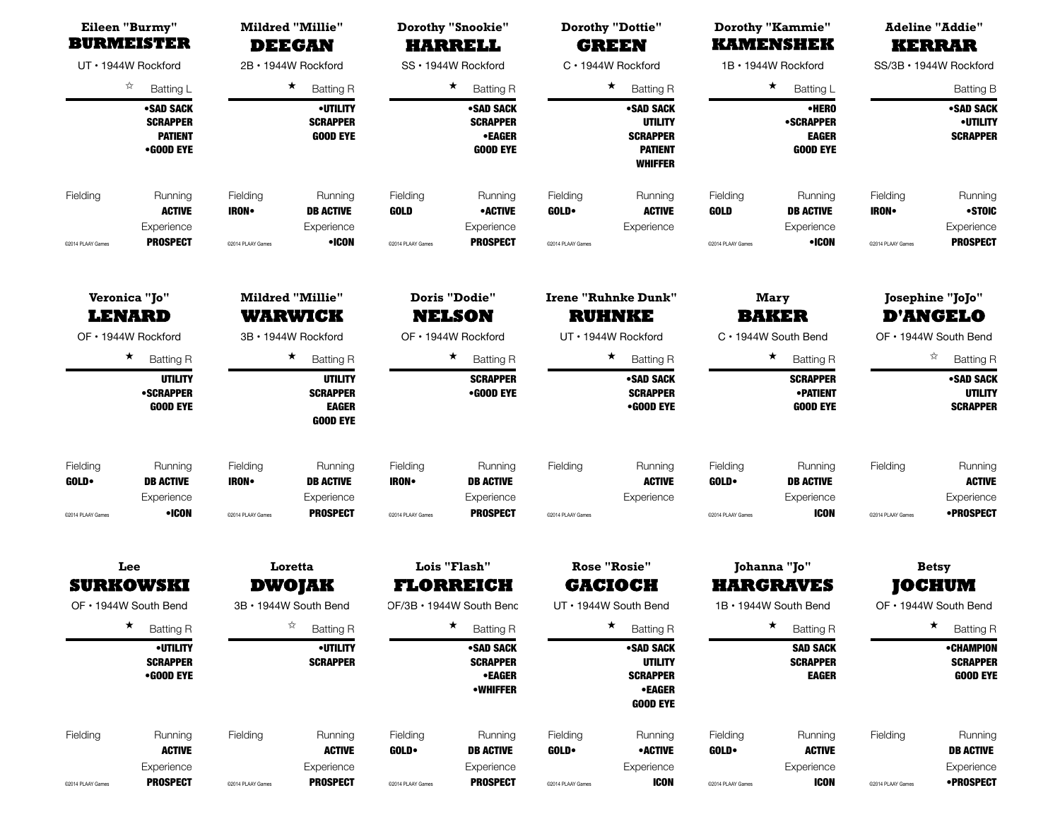| Eileen "Burmy"<br><b>BURMEISTER</b>                   |                                                                          |                                                                  | <b>Mildred "Millie"</b><br><b>DEEGAN</b>                                  |                                                              | <b>Dorothy "Snookie"</b><br><b>HARRELL</b>                                    |                                                                    | <b>Dorothy "Dottie"</b><br><b>GREEN</b>                                                                |                                                           | <b>Dorothy "Kammie"</b><br><b>KAMENSHEK</b>                                      | <b>Adeline "Addie"</b><br><b>KERRAR</b>                      |                                                                     |  |
|-------------------------------------------------------|--------------------------------------------------------------------------|------------------------------------------------------------------|---------------------------------------------------------------------------|--------------------------------------------------------------|-------------------------------------------------------------------------------|--------------------------------------------------------------------|--------------------------------------------------------------------------------------------------------|-----------------------------------------------------------|----------------------------------------------------------------------------------|--------------------------------------------------------------|---------------------------------------------------------------------|--|
|                                                       | UT · 1944W Rockford                                                      |                                                                  | 2B · 1944W Rockford                                                       |                                                              | SS · 1944W Rockford                                                           |                                                                    | C · 1944W Rockford                                                                                     |                                                           | 1B · 1944W Rockford                                                              | SS/3B · 1944W Rockford                                       |                                                                     |  |
|                                                       | ☆                                                                        |                                                                  | $\star$                                                                   |                                                              | $\star$                                                                       |                                                                    | $\star$                                                                                                |                                                           | $\star$                                                                          |                                                              |                                                                     |  |
|                                                       | Batting L<br>•SAD SACK<br><b>SCRAPPER</b><br><b>PATIENT</b><br>•GOOD EYE |                                                                  | <b>Batting R</b><br><b>•UTILITY</b><br><b>SCRAPPER</b><br><b>GOOD EYE</b> |                                                              | <b>Batting R</b><br>•SAD SACK<br><b>SCRAPPER</b><br>•EAGER<br><b>GOOD EYE</b> |                                                                    | <b>Batting R</b><br>•SAD SACK<br><b>UTILITY</b><br><b>SCRAPPER</b><br><b>PATIENT</b><br><b>WHIFFER</b> |                                                           | <b>Batting L</b><br>•HERO<br><b>•SCRAPPER</b><br><b>EAGER</b><br><b>GOOD EYE</b> |                                                              | <b>Batting B</b><br>•SAD SACK<br><b>•UTILITY</b><br><b>SCRAPPER</b> |  |
| Fielding                                              | Running<br><b>ACTIVE</b><br>Experience                                   | Fielding<br><b>IRON</b>                                          | Running<br><b>DB ACTIVE</b><br>Experience                                 | Fielding<br><b>GOLD</b>                                      | Running<br><b>•ACTIVE</b><br>Experience                                       | Fielding<br><b>GOLD</b>                                            | Running<br><b>ACTIVE</b><br>Experience                                                                 | Fielding<br><b>GOLD</b>                                   | Running<br><b>DB ACTIVE</b><br>Experience                                        | Fielding<br><b>IRON</b>                                      | Running<br>•STOIC<br>Experience                                     |  |
| @2014 PLAAY Games                                     | <b>PROSPECT</b>                                                          | @2014 PLAAY Games                                                | •ICON                                                                     | @2014 PLAAY Games                                            | <b>PROSPECT</b>                                                               | @2014 PLAAY Games                                                  |                                                                                                        | @2014 PLAAY Games                                         | •ICON                                                                            | @2014 PLAAY Games                                            | <b>PROSPECT</b>                                                     |  |
| Veronica "Jo"<br><b>LENARD</b><br>OF • 1944W Rockford |                                                                          | <b>Mildred "Millie"</b><br><b>WARWICK</b><br>3B · 1944W Rockford |                                                                           | <b>Doris "Dodie"</b><br><b>NELSON</b><br>OF · 1944W Rockford |                                                                               | <b>Irene "Ruhnke Dunk"</b><br><b>RUHNKE</b><br>UT · 1944W Rockford |                                                                                                        |                                                           | Mary<br><b>BAKER</b><br>C · 1944W South Bend                                     | Josephine "JoJo"<br><b>D'ANGELO</b><br>OF • 1944W South Bend |                                                                     |  |
|                                                       | $\star$<br><b>Batting R</b>                                              |                                                                  | $\star$<br><b>Batting R</b>                                               |                                                              | $\star$<br><b>Batting R</b>                                                   |                                                                    | $\star$<br><b>Batting R</b>                                                                            |                                                           | $\star$<br><b>Batting R</b>                                                      |                                                              | ☆<br><b>Batting R</b>                                               |  |
|                                                       | <b>UTILITY</b><br><b>•SCRAPPER</b><br><b>GOOD EYE</b>                    |                                                                  | <b>UTILITY</b><br><b>SCRAPPER</b><br><b>EAGER</b><br><b>GOOD EYE</b>      |                                                              | <b>SCRAPPER</b><br>•GOOD EYE                                                  |                                                                    | •SAD SACK<br><b>SCRAPPER</b><br>•GOOD EYE                                                              |                                                           | <b>SCRAPPER</b><br><b>•PATIENT</b><br><b>GOOD EYE</b>                            |                                                              | •SAD SACK<br><b>UTILITY</b><br><b>SCRAPPER</b>                      |  |
| Fielding<br><b>GOLD</b>                               | Running<br><b>DB ACTIVE</b><br>Experience                                | Fielding<br><b>IRON</b>                                          | Running<br><b>DB ACTIVE</b><br>Experience                                 | Fielding<br><b>IRON</b> •                                    | Running<br><b>DB ACTIVE</b><br>Experience                                     | Fielding                                                           | Running<br><b>ACTIVE</b><br>Experience                                                                 | Fielding<br><b>GOLD</b>                                   | Running<br><b>DB ACTIVE</b><br>Experience                                        | Fielding                                                     | Running<br><b>ACTIVE</b><br>Experience                              |  |
| @2014 PLAAY Games                                     | •ICON                                                                    | @2014 PLAAY Games                                                | <b>PROSPECT</b>                                                           | @2014 PLAAY Games                                            | <b>PROSPECT</b>                                                               | @2014 PLAAY Games                                                  |                                                                                                        | @2014 PLAAY Games                                         | <b>ICON</b>                                                                      | @2014 PLAAY Games                                            | •PROSPECT                                                           |  |
|                                                       | Lee<br><b>SURKOWSKI</b><br>OF • 1944W South Bend                         | Loretta<br>DWOJAK<br>3B • 1944W South Bend                       |                                                                           | Lois "Flash"<br><b>FLORREICH</b><br>OF/3B • 1944W South Benc |                                                                               | <b>Rose "Rosie"</b><br><b>GACIOCH</b><br>UT • 1944W South Bend     |                                                                                                        | Johanna "Jo"<br><b>HARGRAVES</b><br>1B · 1944W South Bend |                                                                                  | <b>Betsy</b><br><b>JOCHUM</b><br>OF • 1944W South Bend       |                                                                     |  |
|                                                       | $\star$<br><b>Batting R</b>                                              |                                                                  | ☆<br><b>Batting R</b>                                                     |                                                              | $\star$<br><b>Batting R</b>                                                   |                                                                    | $\star$<br><b>Batting R</b>                                                                            |                                                           | $\star$<br><b>Batting R</b>                                                      |                                                              | $\star$<br><b>Batting R</b>                                         |  |
|                                                       | <b>•UTILITY</b><br><b>SCRAPPER</b><br>•GOOD EYE                          |                                                                  | <b>•UTILITY</b><br><b>SCRAPPER</b>                                        |                                                              | •SAD SACK<br><b>SCRAPPER</b><br>•EAGER<br><b>•WHIFFER</b>                     |                                                                    | •SAD SACK<br><b>UTILITY</b><br><b>SCRAPPER</b><br><b>•EAGER</b><br><b>GOOD EYE</b>                     |                                                           | <b>SAD SACK</b><br><b>SCRAPPER</b><br><b>EAGER</b>                               |                                                              | •CHAMPION<br><b>SCRAPPER</b><br><b>GOOD EYE</b>                     |  |
| Fielding                                              | Running<br><b>ACTIVE</b><br>Experience                                   | Fielding                                                         | Running<br><b>ACTIVE</b><br>Experience                                    | Fielding<br>GOLD•                                            | Running<br><b>DB ACTIVE</b><br>Experience                                     | Fielding<br><b>GOLD</b>                                            | Running<br>• ACTIVE<br>Experience                                                                      | Fielding<br><b>GOLD</b>                                   | Running<br><b>ACTIVE</b><br>Experience                                           | Fielding                                                     | Running<br><b>DB ACTIVE</b><br>Experience                           |  |
| @2014 PLAAY Games                                     | <b>PROSPECT</b>                                                          | @2014 PLAAY Games                                                | <b>PROSPECT</b>                                                           | @2014 PLAAY Games                                            | <b>PROSPECT</b>                                                               | @2014 PLAAY Games                                                  | <b>ICON</b>                                                                                            | @2014 PLAAY Games                                         | <b>ICON</b>                                                                      | @2014 PLAAY Games                                            | <b>•PROSPECT</b>                                                    |  |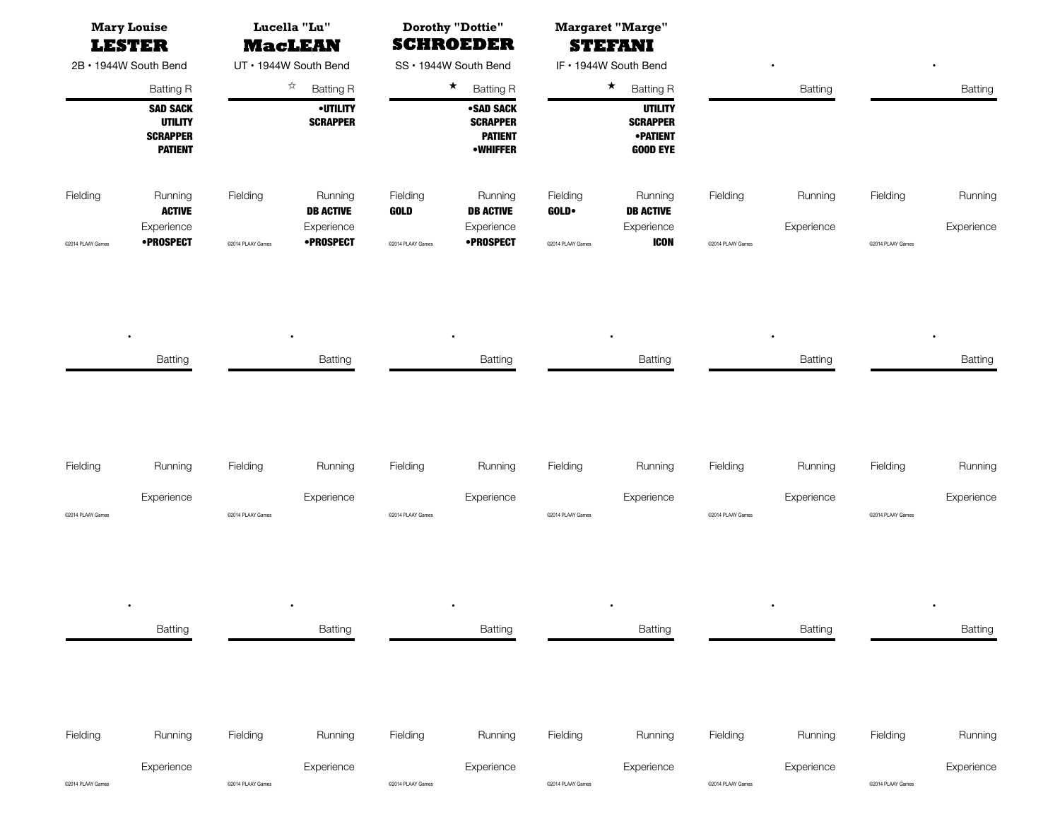| <b>Mary Louise</b><br><b>LESTER</b> |                                                                        | Lucella "Lu"<br><b>MacLEAN</b> |                                    | <b>Dorothy "Dottie"</b><br><b>SCHROEDER</b> |                                                                   |                           | <b>Margaret "Marge"</b><br><b>STEFANI</b>                               |                   |                |                   |            |
|-------------------------------------|------------------------------------------------------------------------|--------------------------------|------------------------------------|---------------------------------------------|-------------------------------------------------------------------|---------------------------|-------------------------------------------------------------------------|-------------------|----------------|-------------------|------------|
| 2B • 1944W South Bend               |                                                                        | UT • 1944W South Bend          |                                    | SS • 1944W South Bend                       |                                                                   | IF • 1944W South Bend     |                                                                         |                   | $\bullet$      |                   | $\bullet$  |
|                                     | <b>Batting R</b>                                                       |                                | ☆<br><b>Batting R</b>              |                                             | $\star$<br><b>Batting R</b>                                       |                           | $\star$<br><b>Batting R</b>                                             |                   | <b>Batting</b> |                   | Batting    |
|                                     | <b>SAD SACK</b><br><b>UTILITY</b><br><b>SCRAPPER</b><br><b>PATIENT</b> |                                | <b>•UTILITY</b><br><b>SCRAPPER</b> |                                             | •SAD SACK<br><b>SCRAPPER</b><br><b>PATIENT</b><br><b>•WHIFFER</b> |                           | <b>UTILITY</b><br><b>SCRAPPER</b><br><b>•PATIENT</b><br><b>GOOD EYE</b> |                   |                |                   |            |
| Fielding                            | Running<br>ACTIVE                                                      | Fielding                       | Running<br><b>DB ACTIVE</b>        | Fielding<br><b>GOLD</b>                     | Running<br><b>DB ACTIVE</b>                                       | Fielding<br><b>GOLD</b> • | Running<br><b>DB ACTIVE</b>                                             | Fielding          | Running        | Fielding          | Running    |
| @2014 PLAAY Games                   | Experience<br><b>•PROSPECT</b>                                         | C2014 PLAAY Games              | Experience<br>•PROSPECT            | @2014 PLAAY Games                           | Experience<br>•PROSPECT                                           | C2014 PLAAY Games         | Experience<br><b>ICON</b>                                               | @2014 PLAAY Games | Experience     | @2014 PLAAY Games | Experience |

| Batting | Batting | Batting | Batting | Batting | <b>Batting</b> |
|---------|---------|---------|---------|---------|----------------|

| Fielding          | Running    | Fielding          | Runnina    | Fieldina          | Running    | Fieldina          | <b>Running</b> | Fielding          | Runnina    | Fielding          | Running    |
|-------------------|------------|-------------------|------------|-------------------|------------|-------------------|----------------|-------------------|------------|-------------------|------------|
|                   | Experience |                   | Experience |                   | Experience |                   | Experience     |                   | Experience |                   | Experience |
| @2014 PLAAY Games |            | @2014 PLAAY Games |            | @2014 PLAAY Games |            | @2014 PLAAY Games |                | @2014 PLAAY Games |            | @2014 PLAAY Games |            |

|                   | $\bullet$<br>Batting | $\bullet$<br><b>Batting</b> |            |                   | $\bullet$<br>Batting |                   | $\bullet$<br>Batting |                   | $\bullet$<br>Batting |                   | $\bullet$<br>Batting |
|-------------------|----------------------|-----------------------------|------------|-------------------|----------------------|-------------------|----------------------|-------------------|----------------------|-------------------|----------------------|
|                   |                      |                             |            |                   |                      |                   |                      |                   |                      |                   |                      |
| Fielding          | Running              | Fielding                    | Running    | Fielding          | Running              | Fielding          | Running              | Fielding          | Running              | Fielding          | Running              |
|                   | Experience           |                             | Experience |                   | Experience           |                   | Experience           |                   | Experience           |                   | Experience           |
| @2014 PLAAY Games |                      | C2014 PLAAY Games           |            | @2014 PLAAY Games |                      | @2014 PLAAY Games |                      | @2014 PLAAY Games |                      | @2014 PLAAY Games |                      |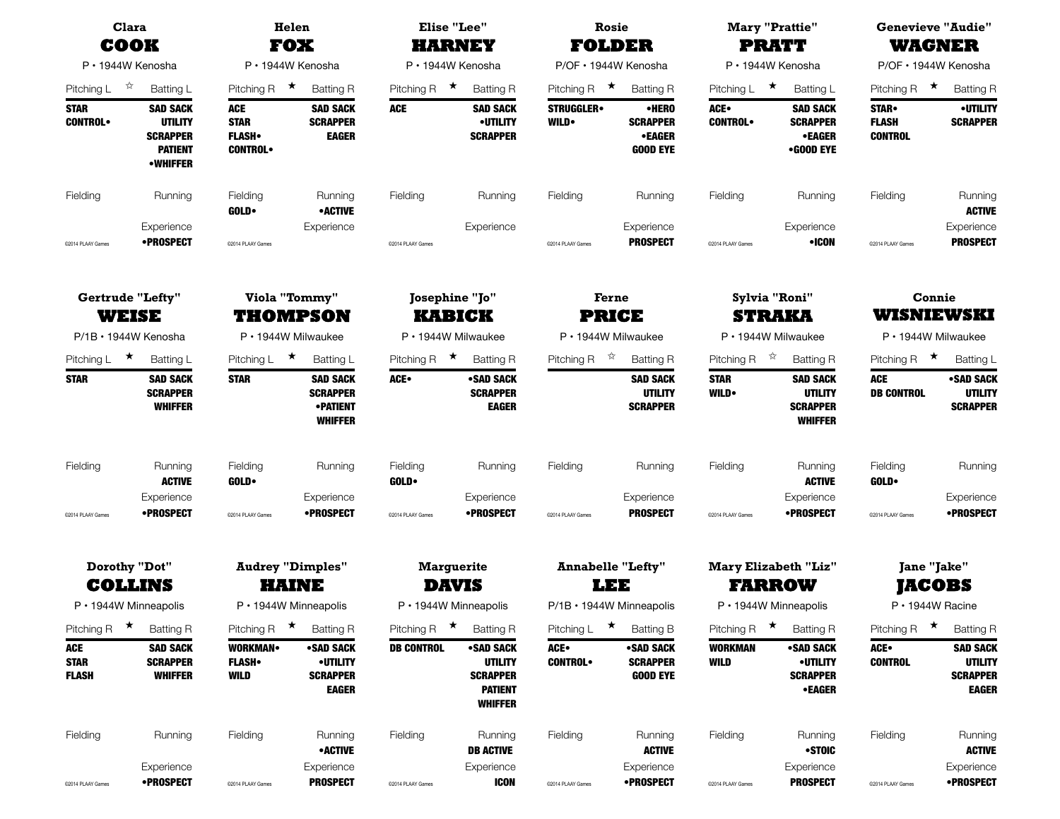| Clara<br>COOK                             |                                                                                           |                                                             | Helen<br><b>FOX</b>                                                      | <b>Elise "Lee"</b>                   | <b>HARNEY</b>                                                         | Rosie<br><b>FOLDER</b>              |                                                              |                                      | <b>Mary "Prattie"</b><br><b>PRATT</b>                                  | <b>Genevieve "Audie"</b><br><b>WAGNER</b>     |                                                                      |  |
|-------------------------------------------|-------------------------------------------------------------------------------------------|-------------------------------------------------------------|--------------------------------------------------------------------------|--------------------------------------|-----------------------------------------------------------------------|-------------------------------------|--------------------------------------------------------------|--------------------------------------|------------------------------------------------------------------------|-----------------------------------------------|----------------------------------------------------------------------|--|
|                                           | $P \cdot 1944W$ Kenosha                                                                   |                                                             | P · 1944W Kenosha                                                        |                                      | P · 1944W Kenosha                                                     | P/OF · 1944W Kenosha                |                                                              |                                      | P · 1944W Kenosha                                                      |                                               | P/OF • 1944W Kenosha                                                 |  |
| Pitching L                                | $\frac{1}{2}$<br>Batting L                                                                | Pitching R $\star$                                          | <b>Batting R</b>                                                         | Pitching R $\star$                   | <b>Batting R</b>                                                      | Pitching R $\star$                  | <b>Batting R</b>                                             | Pitching $L \star$                   | <b>Batting L</b>                                                       | Pitching R $\star$                            | <b>Batting R</b>                                                     |  |
| <b>STAR</b><br><b>CONTROL</b>             | <b>SAD SACK</b><br><b>UTILITY</b><br><b>SCRAPPER</b><br><b>PATIENT</b><br><b>•WHIFFER</b> | <b>ACE</b><br><b>STAR</b><br><b>FLASH</b><br><b>CONTROL</b> | <b>SAD SACK</b><br><b>SCRAPPER</b><br><b>EAGER</b>                       | <b>ACE</b>                           | <b>SAD SACK</b><br><b>•UTILITY</b><br><b>SCRAPPER</b>                 | <b>STRUGGLER</b><br><b>WILD</b>     | •HERO<br><b>SCRAPPER</b><br><b>•EAGER</b><br><b>GOOD EYE</b> | ACE.<br><b>CONTROL</b>               | <b>SAD SACK</b><br><b>SCRAPPER</b><br>•EAGER<br>•GOOD EYE              | <b>STAR</b><br><b>FLASH</b><br><b>CONTROL</b> | <b>•UTILITY</b><br><b>SCRAPPER</b>                                   |  |
| Fielding                                  | Running                                                                                   | Fielding<br><b>GOLD</b>                                     | Running<br><b>•ACTIVE</b>                                                | Fielding                             | Running                                                               | Fielding                            | Running                                                      | Fielding                             | Running                                                                | Fielding                                      | Running<br><b>ACTIVE</b>                                             |  |
| @2014 PLAAY Games                         | Experience<br>•PROSPECT                                                                   | @2014 PLAAY Games                                           | Experience                                                               | @2014 PLAAY Games                    | Experience                                                            | @2014 PLAAY Games                   | Experience<br><b>PROSPECT</b>                                | @2014 PLAAY Games                    | Experience<br>•ICON                                                    | @2014 PLAAY Games                             | Experience<br><b>PROSPECT</b>                                        |  |
|                                           | <b>Gertrude "Lefty"</b><br><b>WEISE</b>                                                   |                                                             | Viola "Tommy"                                                            | Josephine "Jo"                       |                                                                       | Ferne                               |                                                              |                                      | Sylvia "Roni"                                                          | Connie<br>WISNIEWSKI                          |                                                                      |  |
|                                           | $P/1B \cdot 1944W$ Kenosha                                                                | THOMPSON<br>P · 1944W Milwaukee                             |                                                                          | <b>KABICK</b><br>P · 1944W Milwaukee |                                                                       | <b>PRICE</b><br>P · 1944W Milwaukee |                                                              | <b>STRAKA</b><br>P · 1944W Milwaukee |                                                                        | P · 1944W Milwaukee                           |                                                                      |  |
| Pitching L                                | $\star$<br>Batting L                                                                      | Pitching L                                                  | $\star$<br>Batting L                                                     | $\star$<br>Pitching R                | <b>Batting R</b>                                                      | $\frac{1}{N}$<br>Pitching R         | <b>Batting R</b>                                             | Pitching R                           | $\vec{\varkappa}$<br><b>Batting R</b>                                  | Pitching R $\star$                            | Batting L                                                            |  |
| <b>STAR</b>                               | <b>SAD SACK</b><br><b>SCRAPPER</b><br><b>WHIFFER</b>                                      | <b>STAR</b>                                                 | <b>SAD SACK</b><br><b>SCRAPPER</b><br><b>• PATIENT</b><br><b>WHIFFER</b> | ACE.                                 | •SAD SACK<br><b>SCRAPPER</b><br><b>EAGER</b>                          |                                     | <b>SAD SACK</b><br><b>UTILITY</b><br><b>SCRAPPER</b>         | <b>STAR</b><br>WILD.                 | <b>SAD SACK</b><br><b>UTILITY</b><br><b>SCRAPPER</b><br><b>WHIFFER</b> | <b>ACE</b><br><b>DB CONTROL</b>               | •SAD SACK<br><b>UTILITY</b><br><b>SCRAPPER</b>                       |  |
| Fielding                                  | Running<br><b>ACTIVE</b>                                                                  | Fielding<br><b>GOLD</b>                                     | Running                                                                  | Fielding<br><b>GOLD</b>              | Running                                                               | Fielding                            | Running                                                      | Fielding                             | Running<br><b>ACTIVE</b>                                               | Fielding<br><b>GOLD</b>                       | Running                                                              |  |
| @2014 PLAAY Games                         | Experience<br>•PROSPECT                                                                   | @2014 PLAAY Games                                           | Experience<br>•PROSPECT                                                  | @2014 PLAAY Games                    | Experience<br><b>•PROSPECT</b>                                        | @2014 PLAAY Games                   | Experience<br><b>PROSPECT</b>                                | @2014 PLAAY Games                    | Experience<br>•PROSPECT                                                | @2014 PLAAY Games                             | Experience<br>•PROSPECT                                              |  |
|                                           | Dorothy "Dot"<br><b>COLLINS</b>                                                           |                                                             | <b>Audrey "Dimples"</b><br>HAINE                                         | <b>Marguerite</b><br><b>DAVIS</b>    |                                                                       |                                     | <b>Annabelle "Lefty"</b><br>LEE                              |                                      | <b>Mary Elizabeth "Liz"</b><br><b>FARROW</b>                           | Jane "Jake"<br><b>JACOBS</b>                  |                                                                      |  |
|                                           | $P \cdot 1944W$ Minneapolis                                                               |                                                             | $P \cdot 1944W$ Minneapolis                                              | $P \cdot 1944W$ Minneapolis          |                                                                       | P/1B · 1944W Minneapolis            |                                                              |                                      | $P \cdot 1944W$ Minneapolis                                            |                                               | $P \cdot 1944W$ Racine                                               |  |
| $\star$<br>Pitching R                     | <b>Batting R</b>                                                                          | Pitching R<br>$\star$                                       | <b>Batting R</b>                                                         | ★<br>Pitching R                      | <b>Batting R</b><br><b>•SAD SACK</b>                                  | $\star$<br>Pitching L               | <b>Batting B</b>                                             | Pitching R                           | $\star$<br><b>Batting R</b>                                            | Pitching R                                    | $\star$<br><b>Batting R</b>                                          |  |
| <b>ACE</b><br><b>STAR</b><br><b>FLASH</b> | <b>SAD SACK</b><br><b>SCRAPPER</b><br><b>WHIFFER</b>                                      | <b>WORKMAN</b><br><b>FLASH</b><br><b>WILD</b>               | •SAD SACK<br><b>•UTILITY</b><br><b>SCRAPPER</b><br><b>EAGER</b>          | <b>DB CONTROL</b>                    | <b>UTILITY</b><br><b>SCRAPPER</b><br><b>PATIENT</b><br><b>WHIFFER</b> | ACE.<br><b>CONTROL</b>              | •SAD SACK<br><b>SCRAPPER</b><br><b>GOOD EYE</b>              | <b>WORKMAN</b><br><b>WILD</b>        | •SAD SACK<br><b>•UTILITY</b><br><b>SCRAPPER</b><br><b>•EAGER</b>       | ACE.<br><b>CONTROL</b>                        | <b>SAD SACK</b><br><b>UTILITY</b><br><b>SCRAPPER</b><br><b>EAGER</b> |  |
| Fielding                                  | Running                                                                                   | Fielding                                                    | Running<br>• ACTIVE                                                      | Fielding                             | Running<br><b>DB ACTIVE</b>                                           | Fielding                            | Running<br><b>ACTIVE</b>                                     | Fielding                             | Running<br>•STOIC                                                      | Fielding                                      | Running<br><b>ACTIVE</b>                                             |  |
| @2014 PLAAY Games                         | Experience<br><b>•PROSPECT</b>                                                            | @2014 PLAAY Games                                           | Experience<br><b>PROSPECT</b>                                            | @2014 PLAAY Games                    | Experience<br><b>ICON</b>                                             | @2014 PLAAY Games                   | Experience<br>•PROSPECT                                      | @2014 PLAAY Games                    | Experience<br><b>PROSPECT</b>                                          | @2014 PLAAY Games                             | Experience<br><b>•PROSPECT</b>                                       |  |